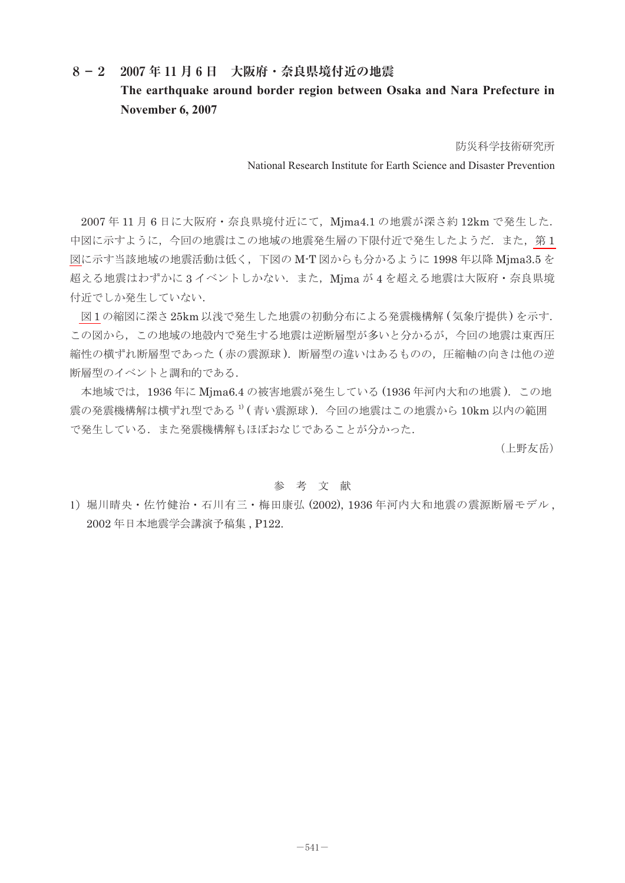## **8-2 2007 年 11 月 6 日 大阪府・奈良県境付近の地震**

## **The earthquake around border region between Osaka and Nara Prefecture in November 6, 2007**

防災科学技術研究所

National Research Institute for Earth Science and Disaster Prevention

2007年11月6日に大阪府·奈良県境付近にて、Mjma4.1 の地震が深さ約12km で発生した. 中図に示すように、今回の地震はこの地域の地震発生層の下限付近で発生したようだ.また、第1 [図に](#page-1-0)示す当該地域の地震活動は低く,下図の M-T 図からも分かるように 1998 年以降 Mjma3.5 を 超える地震はわずかに3イベントしかない.また、Mjma が4を超える地震は大阪府·奈良県境 付近でしか発生していない.

[図](#page-1-0) 1 の縮図に深さ 25km 以浅で発生した地震の初動分布による発震機構解 ( 気象庁提供 ) を示す. この図から、この地域の地殻内で発生する地震は逆断層型が多いと分かるが、今回の地震は東西圧 締性の横ずれ断層型であった (赤の震源球). 断層型の違いはあるものの, 圧縮軸の向きは他の逆 断層型のイベントと調和的である.

 本地域では,1936 年に Mjma6.4 の被害地震が発生している (1936 年河内大和の地震 ).この地 需の発震機構解は横ずれ型である<sup>1)</sup>(青い震源球). 今回の地震はこの地震から 10km 以内の範囲 で発生している.また発震機構解もほぼおなじであることが分かった.

(上野友岳)

## 参 考 文 献

1)堀川晴央・佐竹健治・石川有三・梅田康弘 (2002), 1936 年河内大和地震の震源断層モデル , 2002 年日本地震学会講演予稿集 , P122.